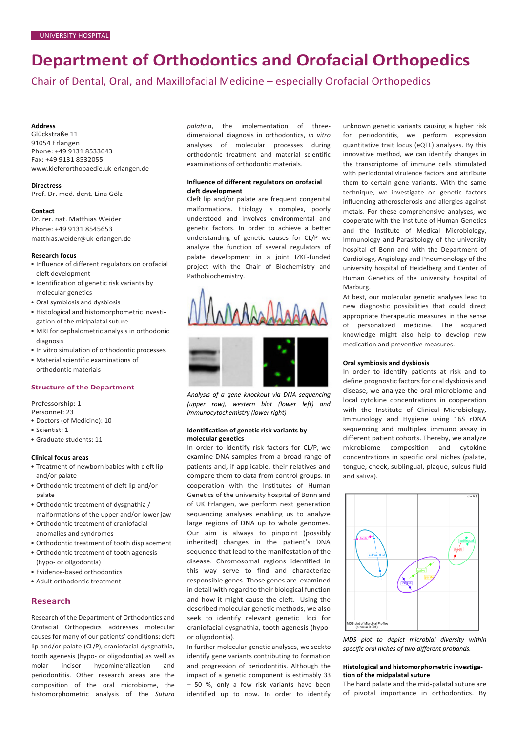# **Department of Orthodontics and Orofacial Orthopedics**

Chair of Dental, Oral, and Maxillofacial Medicine – especially Orofacial Orthopedics

#### **Address**

Glückstraße 11 91054 Erlangen Phone: +49 9131 8533643 Fax: +49 9131 8532055 [www.kieferorthopaedie.uk-erlangen.de](http://www.kieferorthopaedie.uk-erlangen.de/)

#### **Directress**

Prof. Dr. med. dent. Lina Gölz

#### **Contact**

Dr. rer. nat. Matthias Weider Phone: +49 9131 8545653 [matthias.weider@uk-erlangen.de](mailto:matthias.weider@uk-erlangen.de)

#### **Research focus**

- Influence of different regulators on orofacial cleft development
- Identification of genetic risk variants by molecular genetics
- Oral symbiosis and dysbiosis
- Histological and histomorphometric investigation of the midpalatal suture
- MRI for cephalometric analysis in orthodonic diagnosis
- In vitro simulation of orthodontic processes
- Material scientific examinations of

orthodontic materials

### **Structure of the Department**

Professorship: 1

- Personnel: 23
- Doctors (of Medicine): 10
- Scientist: 1
- Graduate students: 11

#### **Clinical focus areas**

- Treatment of newborn babies with cleft lip and/or palate
- Orthodontic treatment of cleft lip and/or palate
- Orthodontic treatment of dysgnathia / malformations of the upper and/or lower jaw
- Orthodontic treatment of craniofacial anomalies and syndromes
- Orthodontic treatment of tooth displacement
- Orthodontic treatment of tooth agenesis (hypo- or oligodontia)
- Evidence-based orthodontics
- Adult orthodontic treatment

## **Research**

Research of the Department of Orthodontics and Orofacial Orthopedics addresses molecular causes for many of our patients' conditions: cleft lip and/or palate (CL/P), craniofacial dysgnathia, tooth agenesis (hypo- or oligodontia) as well as molar incisor hypomineralization and periodontitis. Other research areas are the composition of the oral microbiome, the histomorphometric analysis of the *Sutura* 

*palatina*, the implementation of threedimensional diagnosis in orthodontics, *in vitro*  analyses of molecular processes during orthodontic treatment and material scientific examinations of orthodontic materials.

#### **Influence of different regulators on orofacial cleft development**

Cleft lip and/or palate are frequent congenital malformations. Etiology is complex, poorly understood and involves environmental and genetic factors. In order to achieve a better understanding of genetic causes for CL/P we analyze the function of several regulators of palate development in a joint IZKF-funded project with the Chair of Biochemistry and Pathobiochemistry.



*Analysis of a gene knockout via DNA sequencing (upper row), western blot (lower left) and immunocytochemistry (lower right)*

#### **Identification of genetic risk variants by molecular genetics**

In order to identify risk factors for CL/P, we examine DNA samples from a broad range of patients and, if applicable, their relatives and compare them to data from control groups. In cooperation with the Institutes of Human Genetics of the university hospital of Bonn and of UK Erlangen, we perform next generation sequencing analyses enabling us to analyze large regions of DNA up to whole genomes. Our aim is always to pinpoint (possibly inherited) changes in the patient's DNA sequence that lead to the manifestation of the disease. Chromosomal regions identified in this way serve to find and characterize responsible genes. Those genes are examined in detail with regard to their biological function and how it might cause the cleft. Using the described molecular genetic methods, we also seek to identify relevant genetic loci for craniofacial dysgnathia, tooth agenesis (hypoor oligodontia).

In further molecular genetic analyses, we seekto identify gene variants contributing to formation and progression of periodontitis. Although the impact of a genetic component is estimably 33 – 50 %, only a few risk variants have been identified up to now. In order to identify

unknown genetic variants causing a higher risk for periodontitis, we perform expression quantitative trait locus (eQTL) analyses. By this innovative method, we can identify changes in the transcriptome of immune cells stimulated with periodontal virulence factors and attribute them to certain gene variants. With the same technique, we investigate on genetic factors influencing atherosclerosis and allergies against metals. For these comprehensive analyses, we cooperate with the Institute of Human Genetics and the Institute of Medical Microbiology, Immunology and Parasitology of the university hospital of Bonn and with the Department of Cardiology, Angiology and Pneumonology of the university hospital of Heidelberg and Center of Human Genetics of the university hospital of Marburg.

At best, our molecular genetic analyses lead to new diagnostic possibilities that could direct appropriate therapeutic measures in the sense of personalized medicine. The acquired knowledge might also help to develop new medication and preventive measures.

#### **Oral symbiosis and dysbiosis**

In order to identify patients at risk and to define prognostic factors for oral dysbiosis and disease, we analyze the oral microbiome and local cytokine concentrations in cooperation with the Institute of Clinical Microbiology, Immunology and Hygiene using 16S rDNA sequencing and multiplex immuno assay in different patient cohorts. Thereby, we analyze microbiome composition and cytokine concentrations in specific oral niches (palate, tongue, cheek, sublingual, plaque, sulcus fluid and saliva).



*MDS plot to depict microbial diversity within specific oral niches of two different probands.*

### **Histological and histomorphometric investigation of the midpalatal suture**

The hard palate and the mid-palatal suture are of pivotal importance in orthodontics. By